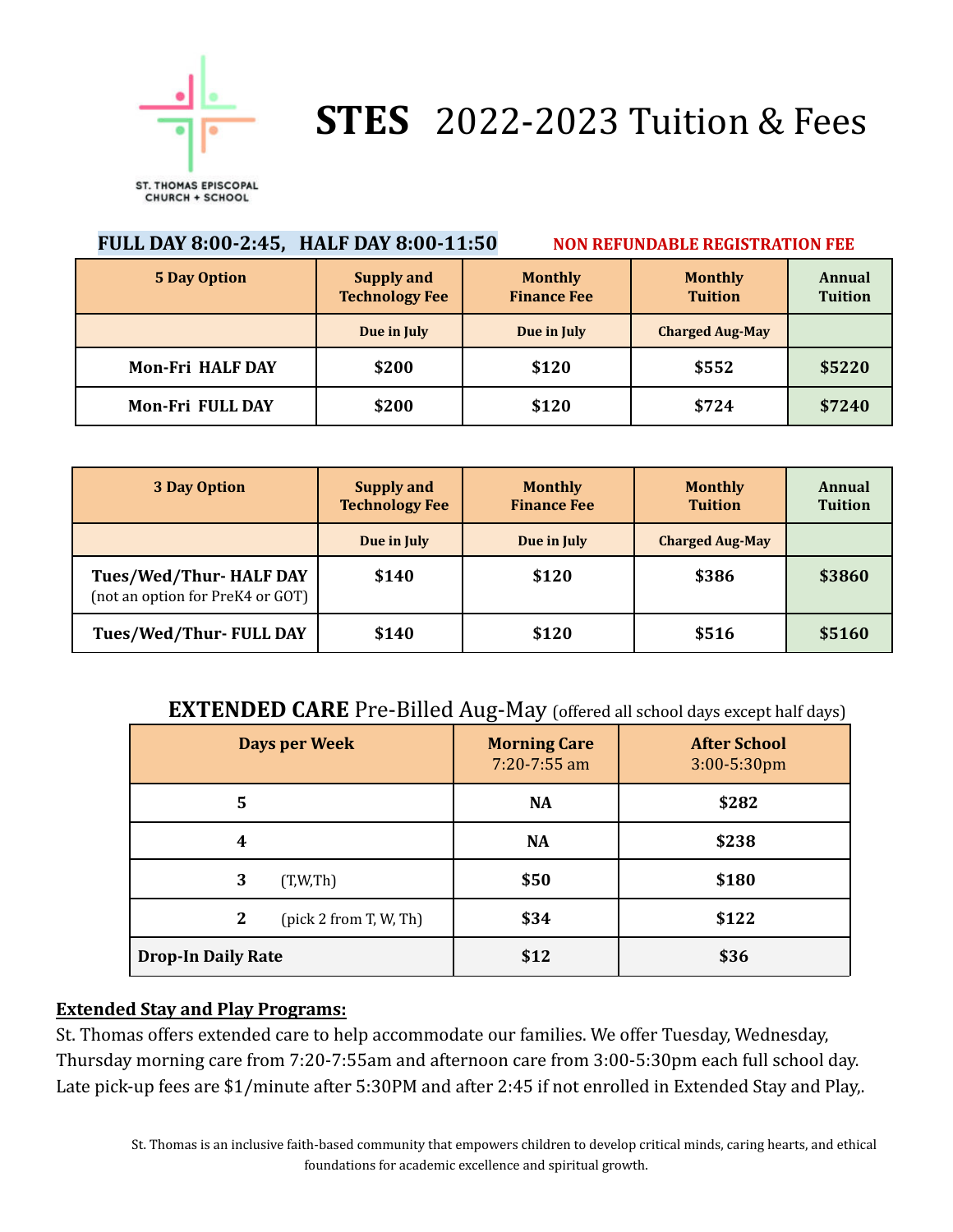

# **STES** 2022-2023 Tuition & Fees

| FULL DAY 8:00-2:45, HALF DAY 8:00-11:50<br><b>NON REFUNDABLE REGISTRATION FEE</b> |                                            |                                      |                                  |                                 |  |
|-----------------------------------------------------------------------------------|--------------------------------------------|--------------------------------------|----------------------------------|---------------------------------|--|
| <b>5 Day Option</b>                                                               | <b>Supply and</b><br><b>Technology Fee</b> | <b>Monthly</b><br><b>Finance Fee</b> | <b>Monthly</b><br><b>Tuition</b> | <b>Annual</b><br><b>Tuition</b> |  |
|                                                                                   | Due in July                                | Due in July                          | <b>Charged Aug-May</b>           |                                 |  |
| <b>Mon-Fri HALF DAY</b>                                                           | \$200                                      | \$120                                | \$552                            | \$5220                          |  |
| Mon-Fri FULL DAY                                                                  | \$200                                      | \$120                                | \$724                            | \$7240                          |  |

| 3 Day Option                                               | <b>Supply and</b><br><b>Technology Fee</b> | <b>Monthly</b><br><b>Finance Fee</b> | <b>Monthly</b><br><b>Tuition</b> | <b>Annual</b><br><b>Tuition</b> |
|------------------------------------------------------------|--------------------------------------------|--------------------------------------|----------------------------------|---------------------------------|
|                                                            | Due in July                                | Due in July                          | <b>Charged Aug-May</b>           |                                 |
| Tues/Wed/Thur-HALF DAY<br>(not an option for PreK4 or GOT) | \$140                                      | \$120                                | \$386                            | \$3860                          |
| Tues/Wed/Thur-FULL DAY                                     | \$140                                      | \$120                                | \$516                            | \$5160                          |

## **EXTENDED CARE** Pre-Billed Aug-May (offered all school days except half days)

| Days per Week                              | <b>Morning Care</b><br>$7:20 - 7:55$ am | <b>After School</b><br>$3:00 - 5:30$ pm |
|--------------------------------------------|-----------------------------------------|-----------------------------------------|
| 5                                          | <b>NA</b>                               | \$282                                   |
| 4                                          | <b>NA</b>                               | \$238                                   |
| 3<br>(T,W,Th)                              | \$50                                    | \$180                                   |
| $\boldsymbol{2}$<br>(pick 2 from T, W, Th) | \$34                                    | \$122                                   |
| <b>Drop-In Daily Rate</b>                  | \$12                                    | \$36                                    |

### **Extended Stay and Play Programs:**

St. Thomas offers extended care to help accommodate our families. We offer Tuesday, Wednesday, Thursday morning care from 7:20-7:55am and afternoon care from 3:00-5:30pm each full school day. Late pick-up fees are \$1/minute after 5:30PM and after 2:45 if not enrolled in Extended Stay and Play,.